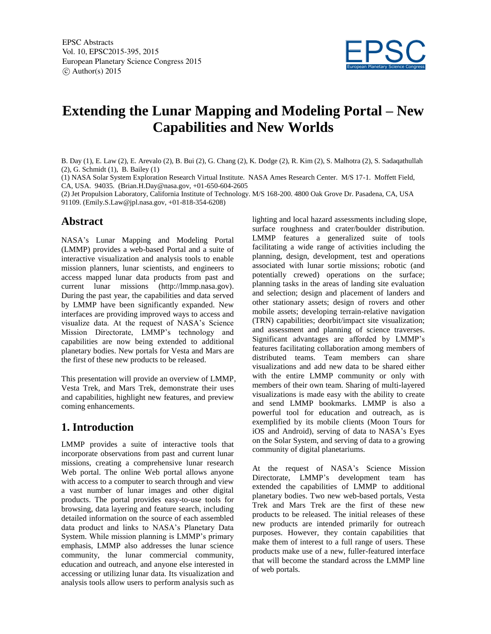

# **Extending the Lunar Mapping and Modeling Portal – New Capabilities and New Worlds**

B. Day (1), E. Law (2), E. Arevalo (2), B. Bui (2), G. Chang (2), K. Dodge (2), R. Kim (2), S. Malhotra (2), S. Sadaqathullah (2), G. Schmidt (1), B. Bailey (1)

(1) NASA Solar System Exploration Research Virtual Institute. NASA Ames Research Center. M/S 17-1. Moffett Field, CA, USA. 94035. (Brian.H.Day@nasa.gov, +01-650-604-2605

(2) Jet Propulsion Laboratory, California Institute of Technology. M/S 168-200. 4800 Oak Grove Dr. Pasadena, CA, USA 91109. (Emily.S.Law@jpl.nasa.gov, +01-818-354-6208)

#### **Abstract**

NASA's Lunar Mapping and Modeling Portal (LMMP) provides a web-based Portal and a suite of interactive visualization and analysis tools to enable mission planners, lunar scientists, and engineers to access mapped lunar data products from past and current lunar missions (http://lmmp.nasa.gov). During the past year, the capabilities and data served by LMMP have been significantly expanded. New interfaces are providing improved ways to access and visualize data. At the request of NASA's Science Mission Directorate, LMMP's technology and capabilities are now being extended to additional planetary bodies. New portals for Vesta and Mars are the first of these new products to be released.

This presentation will provide an overview of LMMP, Vesta Trek, and Mars Trek, demonstrate their uses and capabilities, highlight new features, and preview coming enhancements.

#### **1. Introduction**

LMMP provides a suite of interactive tools that incorporate observations from past and current lunar missions, creating a comprehensive lunar research Web portal. The online Web portal allows anyone with access to a computer to search through and view a vast number of lunar images and other digital products. The portal provides easy-to-use tools for browsing, data layering and feature search, including detailed information on the source of each assembled data product and links to NASA's Planetary Data System. While mission planning is LMMP's primary emphasis, LMMP also addresses the lunar science community, the lunar commercial community, education and outreach, and anyone else interested in accessing or utilizing lunar data. Its visualization and analysis tools allow users to perform analysis such as

lighting and local hazard assessments including slope, surface roughness and crater/boulder distribution. LMMP features a generalized suite of tools facilitating a wide range of activities including the planning, design, development, test and operations associated with lunar sortie missions; robotic (and potentially crewed) operations on the surface; planning tasks in the areas of landing site evaluation and selection; design and placement of landers and other stationary assets; design of rovers and other mobile assets; developing terrain-relative navigation (TRN) capabilities; deorbit/impact site visualization; and assessment and planning of science traverses. Significant advantages are afforded by LMMP's features facilitating collaboration among members of distributed teams. Team members can share visualizations and add new data to be shared either with the entire LMMP community or only with members of their own team. Sharing of multi-layered visualizations is made easy with the ability to create and send LMMP bookmarks. LMMP is also a powerful tool for education and outreach, as is exemplified by its mobile clients (Moon Tours for iOS and Android), serving of data to NASA's Eyes on the Solar System, and serving of data to a growing community of digital planetariums.

At the request of NASA's Science Mission Directorate, LMMP's development team has extended the capabilities of LMMP to additional planetary bodies. Two new web-based portals, Vesta Trek and Mars Trek are the first of these new products to be released. The initial releases of these new products are intended primarily for outreach purposes. However, they contain capabilities that make them of interest to a full range of users. These products make use of a new, fuller-featured interface that will become the standard across the LMMP line of web portals.